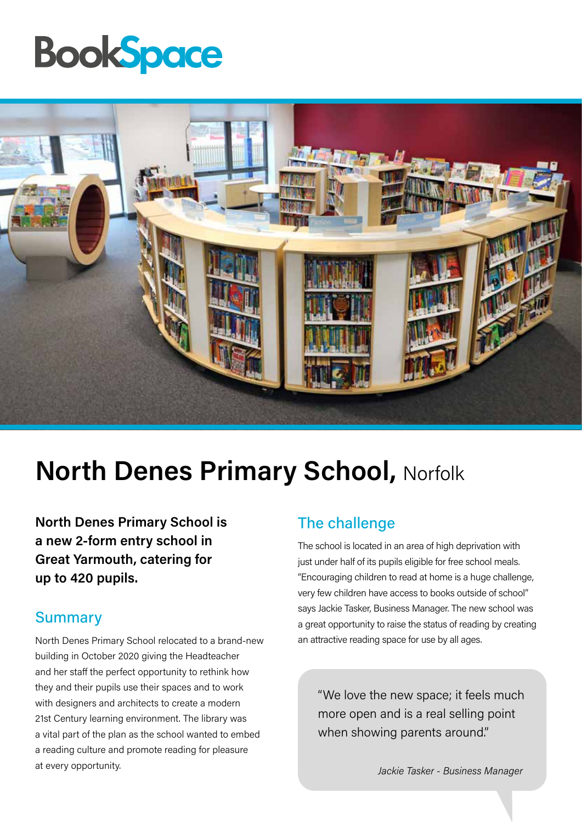## **BookSpace**



### **North Denes Primary School, Norfolk**

**North Denes Primary School is a new 2-form entry school in Great Yarmouth, catering for up to 420 pupils.** 

### **Summary**

North Denes Primary School relocated to a brand-new building in October 2020 giving the Headteacher and her staff the perfect opportunity to rethink how they and their pupils use their spaces and to work with designers and architects to create a modern 21st Century learning environment. The library was a vital part of the plan as the school wanted to embed a reading culture and promote reading for pleasure at every opportunity.

### The challenge

The school is located in an area of high deprivation with just under half of its pupils eligible for free school meals. "Encouraging children to read at home is a huge challenge, very few children have access to books outside of school" says Jackie Tasker, Business Manager. The new school was a great opportunity to raise the status of reading by creating an attractive reading space for use by all ages.

"We love the new space; it feels much more open and is a real selling point when showing parents around."

*Jackie Tasker - Business Manager*